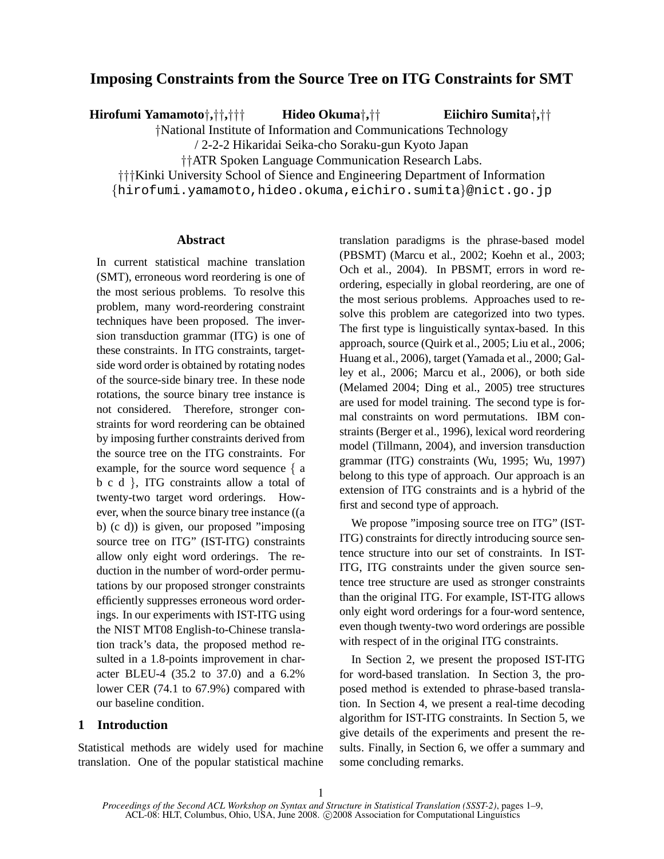# **Imposing Constraints from the Source Tree on ITG Constraints for SMT**

**Hirofumi Yamamoto**†**,**††**,**††† **Hideo Okuma**†**,**††

**Eiichiro Sumita**†**,**††

†National Institute of Information and Communications Technology

/ 2-2-2 Hikaridai Seika-cho Soraku-gun Kyoto Japan

††ATR Spoken Language Communication Research Labs.

†††Kinki University School of Sience and Engineering Department of Information

{hirofumi.yamamoto,hideo.okuma,eichiro.sumita}@nict.go.jp

## **Abstract**

In current statistical machine translation (SMT), erroneous word reordering is one of the most serious problems. To resolve this problem, many word-reordering constraint techniques have been proposed. The inversion transduction grammar (ITG) is one of these constraints. In ITG constraints, targetside word order is obtained by rotating nodes of the source-side binary tree. In these node rotations, the source binary tree instance is not considered. Therefore, stronger constraints for word reordering can be obtained by imposing further constraints derived from the source tree on the ITG constraints. For example, for the source word sequence { a b c d }, ITG constraints allow a total of twenty-two target word orderings. However, when the source binary tree instance ((a b) (c d)) is given, our proposed "imposing source tree on ITG" (IST-ITG) constraints allow only eight word orderings. The reduction in the number of word-order permutations by our proposed stronger constraints efficiently suppresses erroneous word orderings. In our experiments with IST-ITG using the NIST MT08 English-to-Chinese translation track's data, the proposed method resulted in a 1.8-points improvement in character BLEU-4 (35.2 to 37.0) and a 6.2% lower CER (74.1 to 67.9%) compared with our baseline condition.

## **1 Introduction**

Statistical methods are widely used for machine translation. One of the popular statistical machine translation paradigms is the phrase-based model (PBSMT) (Marcu et al., 2002; Koehn et al., 2003; Och et al., 2004). In PBSMT, errors in word reordering, especially in global reordering, are one of the most serious problems. Approaches used to resolve this problem are categorized into two types. The first type is linguistically syntax-based. In this approach, source (Quirk et al., 2005; Liu et al., 2006; Huang et al., 2006), target (Yamada et al., 2000; Galley et al., 2006; Marcu et al., 2006), or both side (Melamed 2004; Ding et al., 2005) tree structures are used for model training. The second type is formal constraints on word permutations. IBM constraints (Berger et al., 1996), lexical word reordering model (Tillmann, 2004), and inversion transduction grammar (ITG) constraints (Wu, 1995; Wu, 1997) belong to this type of approach. Our approach is an extension of ITG constraints and is a hybrid of the first and second type of approach.

We propose "imposing source tree on ITG" (IST-ITG) constraints for directly introducing source sentence structure into our set of constraints. In IST-ITG, ITG constraints under the given source sentence tree structure are used as stronger constraints than the original ITG. For example, IST-ITG allows only eight word orderings for a four-word sentence, even though twenty-two word orderings are possible with respect of in the original ITG constraints.

In Section 2, we present the proposed IST-ITG for word-based translation. In Section 3, the proposed method is extended to phrase-based translation. In Section 4, we present a real-time decoding algorithm for IST-ITG constraints. In Section 5, we give details of the experiments and present the results. Finally, in Section 6, we offer a summary and some concluding remarks.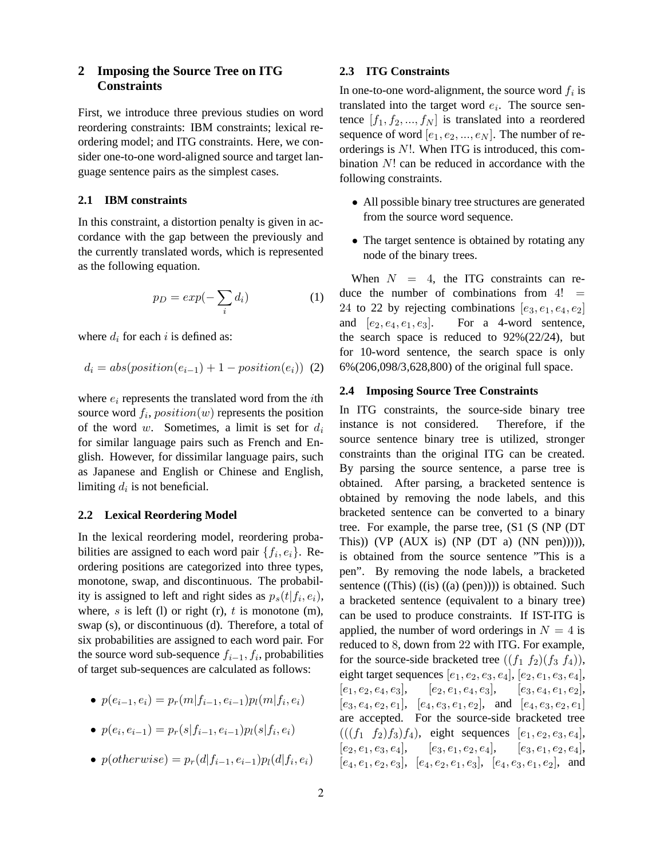## **2 Imposing the Source Tree on ITG Constraints**

First, we introduce three previous studies on word reordering constraints: IBM constraints; lexical reordering model; and ITG constraints. Here, we consider one-to-one word-aligned source and target language sentence pairs as the simplest cases.

## **2.1 IBM constraints**

In this constraint, a distortion penalty is given in accordance with the gap between the previously and the currently translated words, which is represented as the following equation.

$$
p_D = exp(-\sum_i d_i)
$$
 (1)

where  $d_i$  for each i is defined as:

$$
d_i = abs(position(e_{i-1}) + 1 - position(e_i))
$$
 (2)

where  $e_i$  represents the translated word from the *i*th source word  $f_i$ ,  $position(w)$  represents the position of the word w. Sometimes, a limit is set for  $d_i$ for similar language pairs such as French and English. However, for dissimilar language pairs, such as Japanese and English or Chinese and English, limiting  $d_i$  is not beneficial.

### **2.2 Lexical Reordering Model**

In the lexical reordering model, reordering probabilities are assigned to each word pair  $\{f_i, e_i\}$ . Reordering positions are categorized into three types, monotone, swap, and discontinuous. The probability is assigned to left and right sides as  $p_s(t|f_i, e_i)$ , where, s is left (l) or right (r), t is monotone (m), swap (s), or discontinuous (d). Therefore, a total of six probabilities are assigned to each word pair. For the source word sub-sequence  $f_{i-1}, f_i$ , probabilities of target sub-sequences are calculated as follows:

•  $p(e_{i-1}, e_i) = p_r(m|f_{i-1}, e_{i-1}) p_l(m|f_i, e_i)$ 

• 
$$
p(e_i, e_{i-1}) = p_r(s|f_{i-1}, e_{i-1})p_l(s|f_i, e_i)
$$

•  $p(otherwise) = p_r(d|f_{i-1}, e_{i-1})p_l(d|f_i, e_i)$ 

## **2.3 ITG Constraints**

In one-to-one word-alignment, the source word  $f_i$  is translated into the target word  $e_i$ . The source sentence  $[f_1, f_2, ..., f_N]$  is translated into a reordered sequence of word  $[e_1, e_2, ..., e_N]$ . The number of reorderings is  $N!$ . When ITG is introduced, this combination N! can be reduced in accordance with the following constraints.

- All possible binary tree structures are generated from the source word sequence.
- The target sentence is obtained by rotating any node of the binary trees.

When  $N = 4$ , the ITG constraints can reduce the number of combinations from  $4! =$ 24 to 22 by rejecting combinations  $[e_3, e_1, e_4, e_2]$ and  $[e_2, e_4, e_1, e_3]$ . For a 4-word sentence, the search space is reduced to  $92\%(22/24)$ , but for 10-word sentence, the search space is only 6%(206,098/3,628,800) of the original full space.

### **2.4 Imposing Source Tree Constraints**

In ITG constraints, the source-side binary tree instance is not considered. Therefore, if the source sentence binary tree is utilized, stronger constraints than the original ITG can be created. By parsing the source sentence, a parse tree is obtained. After parsing, a bracketed sentence is obtained by removing the node labels, and this bracketed sentence can be converted to a binary tree. For example, the parse tree, (S1 (S (NP (DT This)) (VP  $(AUX$  is) (NP  $(DT \ a) (NN \ pen))))$ , is obtained from the source sentence "This is a pen". By removing the node labels, a bracketed sentence  $((This) ((is) ((a) (pen)))$  is obtained. Such a bracketed sentence (equivalent to a binary tree) can be used to produce constraints. If IST-ITG is applied, the number of word orderings in  $N = 4$  is reduced to 8, down from 22 with ITG. For example, for the source-side bracketed tree  $((f_1 f_2)(f_3 f_4))$ , eight target sequences  $[e_1, e_2, e_3, e_4]$ ,  $[e_2, e_1, e_3, e_4]$ ,  $[e_1, e_2, e_4, e_3], \quad [e_2, e_1, e_4, e_3], \quad [e_3, e_4, e_1, e_2],$  $[e_3, e_4, e_2, e_1], [e_4, e_3, e_1, e_2], \text{ and } [e_4, e_3, e_2, e_1]$ are accepted. For the source-side bracketed tree  $(((f_1 \ f_2)f_3)f_4)$ , eight sequences  $[e_1, e_2, e_3, e_4]$ ,  $[e_2, e_1, e_3, e_4], \quad [e_3, e_1, e_2, e_4], \quad [e_3, e_1, e_2, e_4],$  $[e_4, e_1, e_2, e_3], [e_4, e_2, e_1, e_3], [e_4, e_3, e_1, e_2],$  and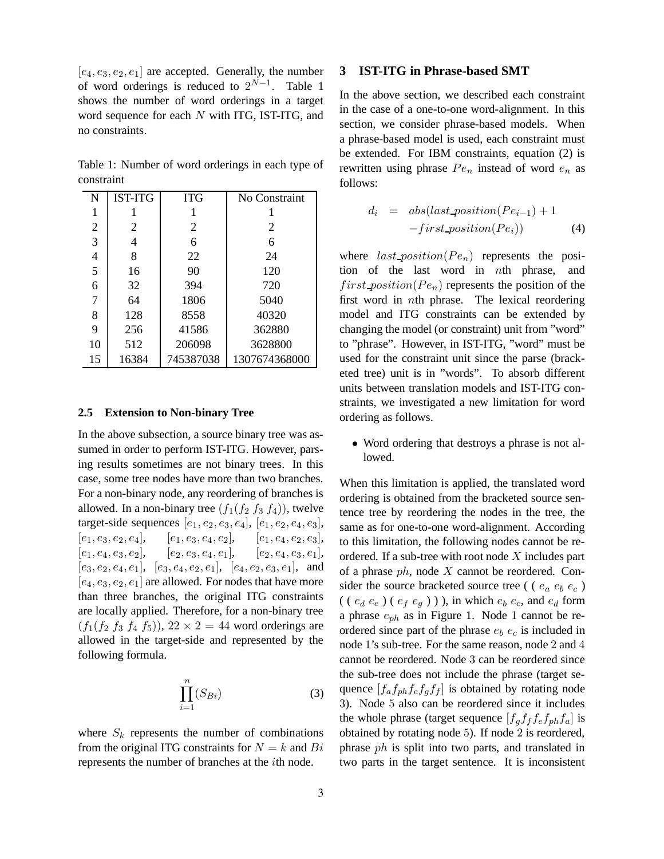$[e_4, e_3, e_2, e_1]$  are accepted. Generally, the number of word orderings is reduced to  $2^{N-1}$ . Table 1 shows the number of word orderings in a target word sequence for each N with ITG, IST-ITG, and no constraints.

Table 1: Number of word orderings in each type of constraint

| N  | <b>IST-ITG</b> | <b>ITG</b> | No Constraint |
|----|----------------|------------|---------------|
| 1  |                |            |               |
| 2  | 2              | 2          | 2             |
| 3  | 4              | 6          | 6             |
| 4  | 8              | 22         | 24            |
| 5  | 16             | 90         | 120           |
| 6  | 32             | 394        | 720           |
| 7  | 64             | 1806       | 5040          |
| 8  | 128            | 8558       | 40320         |
| 9  | 256            | 41586      | 362880        |
| 10 | 512            | 206098     | 3628800       |
| 15 | 16384          | 745387038  | 1307674368000 |

### **2.5 Extension to Non-binary Tree**

In the above subsection, a source binary tree was assumed in order to perform IST-ITG. However, parsing results sometimes are not binary trees. In this case, some tree nodes have more than two branches. For a non-binary node, any reordering of branches is allowed. In a non-binary tree  $(f_1(f_2 f_3 f_4))$ , twelve target-side sequences  $[e_1, e_2, e_3, e_4]$ ,  $[e_1, e_2, e_4, e_3]$ ,  $[e_1, e_3, e_2, e_4], \quad [e_1, e_3, e_4, e_2], \quad [e_1, e_4, e_2, e_3],$  $[e_1, e_4, e_3, e_2], \quad [e_2, e_3, e_4, e_1], \quad [e_2, e_4, e_3, e_1],$  $[e_3, e_2, e_4, e_1], [e_3, e_4, e_2, e_1], [e_4, e_2, e_3, e_1],$  and  $[e_4, e_3, e_2, e_1]$  are allowed. For nodes that have more than three branches, the original ITG constraints are locally applied. Therefore, for a non-binary tree  $(f_1(f_2 f_3 f_4 f_5))$ ,  $22 \times 2 = 44$  word orderings are allowed in the target-side and represented by the following formula.

$$
\prod_{i=1}^{n} (S_{Bi})
$$
 (3)

where  $S_k$  represents the number of combinations from the original ITG constraints for  $N = k$  and  $Bi$ represents the number of branches at the ith node.

## **3 IST-ITG in Phrase-based SMT**

In the above section, we described each constraint in the case of a one-to-one word-alignment. In this section, we consider phrase-based models. When a phrase-based model is used, each constraint must be extended. For IBM constraints, equation (2) is rewritten using phrase  $Pe_n$  instead of word  $e_n$  as follows:

$$
d_i = abs(last\_position(Pe_{i-1}) + 1
$$

$$
-first\_position(Pe_i))
$$
(4)

where  $last\_position(P_{e_n})$  represents the position of the last word in nth phrase, and  $first\_position(P_{e_n})$  represents the position of the first word in nth phrase. The lexical reordering model and ITG constraints can be extended by changing the model (or constraint) unit from "word" to "phrase". However, in IST-ITG, "word" must be used for the constraint unit since the parse (bracketed tree) unit is in "words". To absorb different units between translation models and IST-ITG constraints, we investigated a new limitation for word ordering as follows.

• Word ordering that destroys a phrase is not allowed.

When this limitation is applied, the translated word ordering is obtained from the bracketed source sentence tree by reordering the nodes in the tree, the same as for one-to-one word-alignment. According to this limitation, the following nodes cannot be reordered. If a sub-tree with root node  $X$  includes part of a phrase  $ph$ , node  $X$  cannot be reordered. Consider the source bracketed source tree (  $(e_a e_b e_c)$ ( (  $e_d e_e$  ) (  $e_f e_g$  ) ) ), in which  $e_b e_c$ , and  $e_d$  form a phrase  $e_{ph}$  as in Figure 1. Node 1 cannot be reordered since part of the phrase  $e_b$   $e_c$  is included in node 1's sub-tree. For the same reason, node 2 and 4 cannot be reordered. Node 3 can be reordered since the sub-tree does not include the phrase (target sequence  $[f_a f_{ph} f_e f_g f_f]$  is obtained by rotating node 3). Node 5 also can be reordered since it includes the whole phrase (target sequence  $[f_q f_f f_e f_{ph} f_a]$  is obtained by rotating node 5). If node 2 is reordered, phrase ph is split into two parts, and translated in two parts in the target sentence. It is inconsistent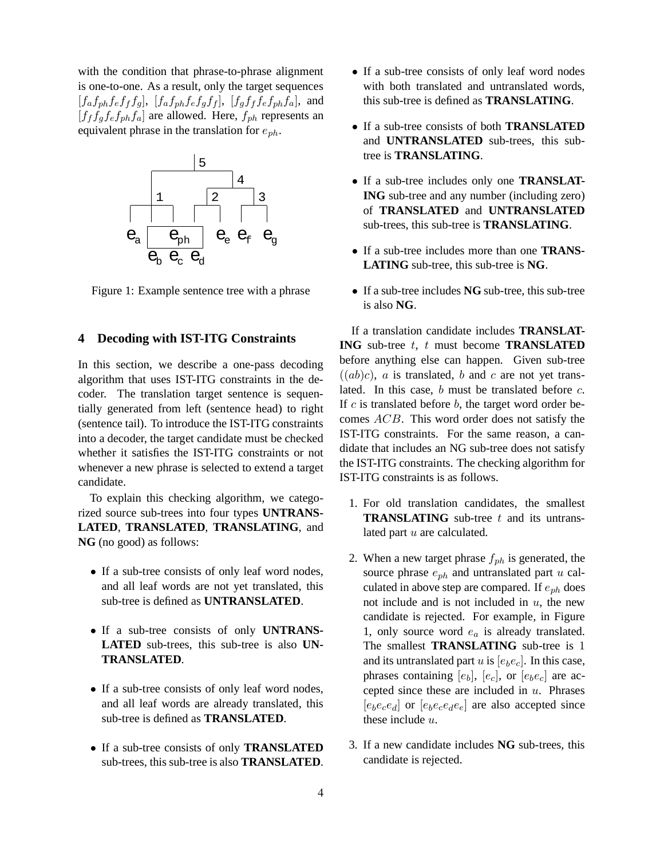with the condition that phrase-to-phrase alignment is one-to-one. As a result, only the target sequences  $[f_a f_{ph} f_e f_f f_g]$ ,  $[f_a f_{ph} f_e f_g f_f]$ ,  $[f_a f_f f_e f_{ph} f_a]$ , and  $[f_f f_g f_e f_{ph} f_a]$  are allowed. Here,  $f_{ph}$  represents an equivalent phrase in the translation for  $e_{ph}$ .



Figure 1: Example sentence tree with a phrase

### **4 Decoding with IST-ITG Constraints**

In this section, we describe a one-pass decoding algorithm that uses IST-ITG constraints in the decoder. The translation target sentence is sequentially generated from left (sentence head) to right (sentence tail). To introduce the IST-ITG constraints into a decoder, the target candidate must be checked whether it satisfies the IST-ITG constraints or not whenever a new phrase is selected to extend a target candidate.

To explain this checking algorithm, we categorized source sub-trees into four types **UNTRANS-LATED**, **TRANSLATED**, **TRANSLATING**, and **NG** (no good) as follows:

- If a sub-tree consists of only leaf word nodes, and all leaf words are not yet translated, this sub-tree is defined as **UNTRANSLATED**.
- If a sub-tree consists of only **UNTRANS-LATED** sub-trees, this sub-tree is also **UN-TRANSLATED**.
- If a sub-tree consists of only leaf word nodes, and all leaf words are already translated, this sub-tree is defined as **TRANSLATED**.
- If a sub-tree consists of only **TRANSLATED** sub-trees, this sub-tree is also **TRANSLATED**.
- If a sub-tree consists of only leaf word nodes with both translated and untranslated words, this sub-tree is defined as **TRANSLATING**.
- If a sub-tree consists of both **TRANSLATED** and **UNTRANSLATED** sub-trees, this subtree is **TRANSLATING**.
- If a sub-tree includes only one **TRANSLAT-ING** sub-tree and any number (including zero) of **TRANSLATED** and **UNTRANSLATED** sub-trees, this sub-tree is **TRANSLATING**.
- If a sub-tree includes more than one **TRANS-LATING** sub-tree, this sub-tree is **NG**.
- If a sub-tree includes **NG** sub-tree, this sub-tree is also **NG**.

If a translation candidate includes **TRANSLAT-ING** sub-tree t, t must become **TRANSLATED** before anything else can happen. Given sub-tree  $((ab)c)$ , a is translated, b and c are not yet translated. In this case,  $b$  must be translated before  $c$ . If  $c$  is translated before  $b$ , the target word order becomes ACB. This word order does not satisfy the IST-ITG constraints. For the same reason, a candidate that includes an NG sub-tree does not satisfy the IST-ITG constraints. The checking algorithm for IST-ITG constraints is as follows.

- 1. For old translation candidates, the smallest **TRANSLATING** sub-tree t and its untranslated part u are calculated.
- 2. When a new target phrase  $f_{ph}$  is generated, the source phrase  $e_{ph}$  and untranslated part  $u$  calculated in above step are compared. If  $e_{ph}$  does not include and is not included in  $u$ , the new candidate is rejected. For example, in Figure 1, only source word  $e_a$  is already translated. The smallest **TRANSLATING** sub-tree is 1 and its untranslated part  $u$  is  $[e_b e_c]$ . In this case, phrases containing  $[e_b]$ ,  $[e_c]$ , or  $[e_b e_c]$  are accepted since these are included in  $u$ . Phrases  $[e_b e_c e_d]$  or  $[e_b e_c e_d e_e]$  are also accepted since these include  $u$ .
- 3. If a new candidate includes **NG** sub-trees, this candidate is rejected.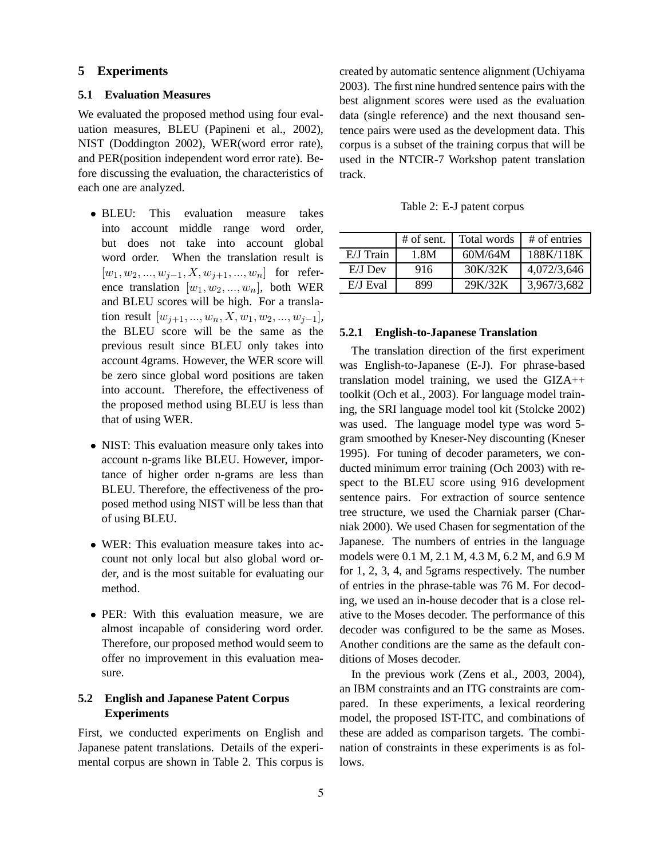## **5 Experiments**

## **5.1 Evaluation Measures**

We evaluated the proposed method using four evaluation measures, BLEU (Papineni et al., 2002), NIST (Doddington 2002), WER(word error rate), and PER(position independent word error rate). Before discussing the evaluation, the characteristics of each one are analyzed.

- BLEU: This evaluation measure takes into account middle range word order, but does not take into account global word order. When the translation result is  $[w_1, w_2, ..., w_{j-1}, X, w_{j+1}, ..., w_n]$  for reference translation  $[w_1, w_2, ..., w_n]$ , both WER and BLEU scores will be high. For a translation result  $[w_{i+1}, ..., w_n, X, w_1, w_2, ..., w_{i-1}],$ the BLEU score will be the same as the previous result since BLEU only takes into account 4grams. However, the WER score will be zero since global word positions are taken into account. Therefore, the effectiveness of the proposed method using BLEU is less than that of using WER.
- NIST: This evaluation measure only takes into account n-grams like BLEU. However, importance of higher order n-grams are less than BLEU. Therefore, the effectiveness of the proposed method using NIST will be less than that of using BLEU.
- WER: This evaluation measure takes into account not only local but also global word order, and is the most suitable for evaluating our method.
- PER: With this evaluation measure, we are almost incapable of considering word order. Therefore, our proposed method would seem to offer no improvement in this evaluation measure.

## **5.2 English and Japanese Patent Corpus Experiments**

First, we conducted experiments on English and Japanese patent translations. Details of the experimental corpus are shown in Table 2. This corpus is created by automatic sentence alignment (Uchiyama 2003). The first nine hundred sentence pairs with the best alignment scores were used as the evaluation data (single reference) and the next thousand sentence pairs were used as the development data. This corpus is a subset of the training corpus that will be used in the NTCIR-7 Workshop patent translation track.

Table 2: E-J patent corpus

|           | $#$ of sent. | Total words | # of entries |
|-----------|--------------|-------------|--------------|
| E/J Train | 1.8M         | 60M/64M     | 188K/118K    |
| $E/J$ Dev | 916          | 30K/32K     | 4,072/3,646  |
| E/J Eval  | 899          | 29K/32K     | 3,967/3,682  |

### **5.2.1 English-to-Japanese Translation**

The translation direction of the first experiment was English-to-Japanese (E-J). For phrase-based translation model training, we used the GIZA++ toolkit (Och et al., 2003). For language model training, the SRI language model tool kit (Stolcke 2002) was used. The language model type was word 5 gram smoothed by Kneser-Ney discounting (Kneser 1995). For tuning of decoder parameters, we conducted minimum error training (Och 2003) with respect to the BLEU score using 916 development sentence pairs. For extraction of source sentence tree structure, we used the Charniak parser (Charniak 2000). We used Chasen for segmentation of the Japanese. The numbers of entries in the language models were 0.1 M, 2.1 M, 4.3 M, 6.2 M, and 6.9 M for 1, 2, 3, 4, and 5grams respectively. The number of entries in the phrase-table was 76 M. For decoding, we used an in-house decoder that is a close relative to the Moses decoder. The performance of this decoder was configured to be the same as Moses. Another conditions are the same as the default conditions of Moses decoder.

In the previous work (Zens et al., 2003, 2004), an IBM constraints and an ITG constraints are compared. In these experiments, a lexical reordering model, the proposed IST-ITC, and combinations of these are added as comparison targets. The combination of constraints in these experiments is as follows.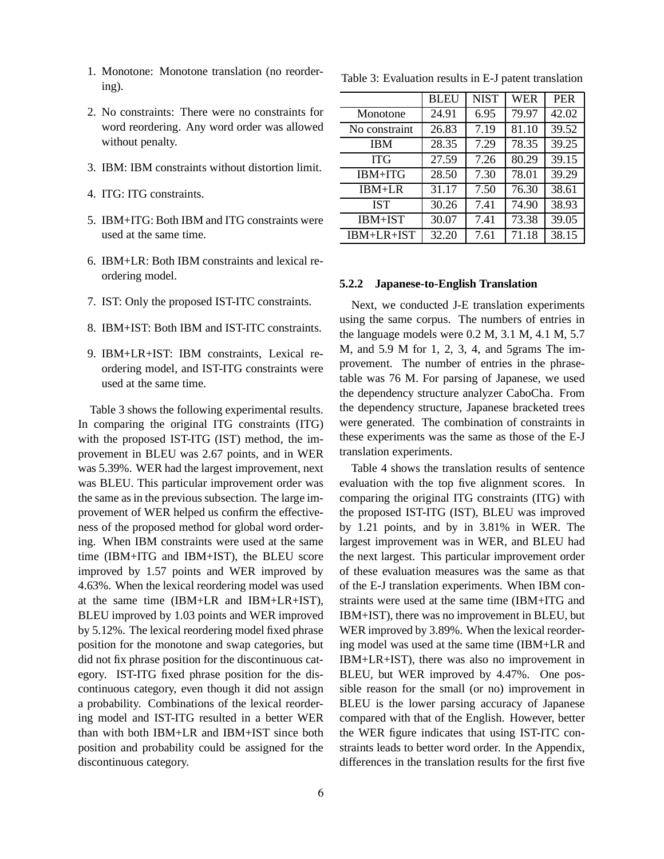- 1. Monotone: Monotone translation (no reordering).
- 2. No constraints: There were no constraints for word reordering. Any word order was allowed without penalty.
- 3. IBM: IBM constraints without distortion limit.
- 4. ITG: ITG constraints.
- 5. IBM+ITG: Both IBM and ITG constraints were used at the same time.
- 6. IBM+LR: Both IBM constraints and lexical reordering model.
- 7. IST: Only the proposed IST-ITC constraints.
- 8. IBM+IST: Both IBM and IST-ITC constraints.
- 9. IBM+LR+IST: IBM constraints, Lexical reordering model, and IST-ITG constraints were used at the same time.

Table 3 shows the following experimental results. In comparing the original ITG constraints (ITG) with the proposed IST-ITG (IST) method, the improvement in BLEU was 2.67 points, and in WER was 5.39%. WER had the largest improvement, next was BLEU. This particular improvement order was the same as in the previous subsection. The large improvement of WER helped us confirm the effectiveness of the proposed method for global word ordering. When IBM constraints were used at the same time (IBM+ITG and IBM+IST), the BLEU score improved by 1.57 points and WER improved by 4.63%. When the lexical reordering model was used at the same time (IBM+LR and IBM+LR+IST), BLEU improved by 1.03 points and WER improved by 5.12%. The lexical reordering model fixed phrase position for the monotone and swap categories, but did not fix phrase position for the discontinuous category. IST-ITG fixed phrase position for the discontinuous category, even though it did not assign a probability. Combinations of the lexical reordering model and IST-ITG resulted in a better WER than with both IBM+LR and IBM+IST since both position and probability could be assigned for the discontinuous category.

|               | <b>BLEU</b> | <b>NIST</b> | WER   | <b>PER</b> |
|---------------|-------------|-------------|-------|------------|
| Monotone      | 24.91       | 6.95        | 79.97 | 42.02      |
| No constraint | 26.83       | 7.19        | 81.10 | 39.52      |
| <b>IBM</b>    | 28.35       | 7.29        | 78.35 | 39.25      |
| ITG           | 27.59       | 7.26        | 80.29 | 39.15      |
| IBM+ITG       | 28.50       | 7.30        | 78.01 | 39.29      |
| $IBM+LR$      | 31.17       | 7.50        | 76.30 | 38.61      |
| <b>IST</b>    | 30.26       | 7.41        | 74.90 | 38.93      |
| IBM+IST       | 30.07       | 7.41        | 73.38 | 39.05      |
| $IBM+LR+IST$  | 32.20       | 7.61        | 71.18 | 38.15      |

Table 3: Evaluation results in E-J patent translation

## **5.2.2 Japanese-to-English Translation**

Next, we conducted J-E translation experiments using the same corpus. The numbers of entries in the language models were 0.2 M, 3.1 M, 4.1 M, 5.7 M, and 5.9 M for 1, 2, 3, 4, and 5grams The improvement. The number of entries in the phrasetable was 76 M. For parsing of Japanese, we used the dependency structure analyzer CaboCha. From the dependency structure, Japanese bracketed trees were generated. The combination of constraints in these experiments was the same as those of the E-J translation experiments.

Table 4 shows the translation results of sentence evaluation with the top five alignment scores. In comparing the original ITG constraints (ITG) with the proposed IST-ITG (IST), BLEU was improved by 1.21 points, and by in 3.81% in WER. The largest improvement was in WER, and BLEU had the next largest. This particular improvement order of these evaluation measures was the same as that of the E-J translation experiments. When IBM constraints were used at the same time (IBM+ITG and IBM+IST), there was no improvement in BLEU, but WER improved by 3.89%. When the lexical reordering model was used at the same time (IBM+LR and IBM+LR+IST), there was also no improvement in BLEU, but WER improved by 4.47%. One possible reason for the small (or no) improvement in BLEU is the lower parsing accuracy of Japanese compared with that of the English. However, better the WER figure indicates that using IST-ITC constraints leads to better word order. In the Appendix, differences in the translation results for the first five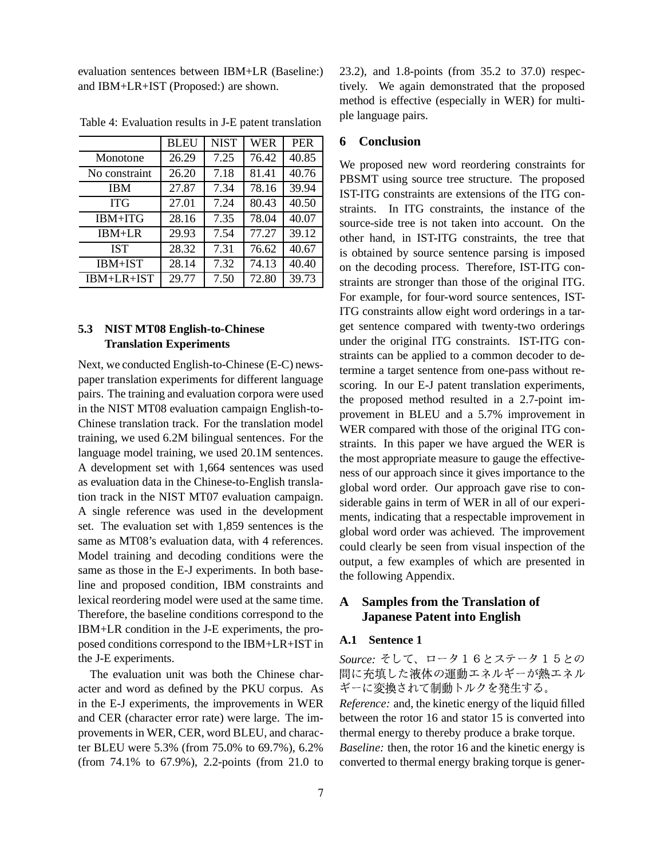evaluation sentences between IBM+LR (Baseline:) and IBM+LR+IST (Proposed:) are shown.

|                | <b>BLEU</b> | <b>NIST</b> | <b>WER</b> | <b>PER</b> |
|----------------|-------------|-------------|------------|------------|
| Monotone       | 26.29       | 7.25        | 76.42      | 40.85      |
| No constraint  | 26.20       | 7.18        | 81.41      | 40.76      |
| <b>IBM</b>     | 27.87       | 7.34        | 78.16      | 39.94      |
| <b>ITG</b>     | 27.01       | 7.24        | 80.43      | 40.50      |
| IBM+ITG        | 28.16       | 7.35        | 78.04      | 40.07      |
| $IBM+LR$       | 29.93       | 7.54        | 77.27      | 39.12      |
| <b>IST</b>     | 28.32       | 7.31        | 76.62      | 40.67      |
| <b>IBM+IST</b> | 28.14       | 7.32        | 74.13      | 40.40      |
| IBM+LR+IST     | 29.77       | 7.50        | 72.80      | 39.73      |

Table 4: Evaluation results in J-E patent translation

## **5.3 NIST MT08 English-to-Chinese Translation Experiments**

Next, we conducted English-to-Chinese (E-C) newspaper translation experiments for different language pairs. The training and evaluation corpora were used in the NIST MT08 evaluation campaign English-to-Chinese translation track. For the translation model training, we used 6.2M bilingual sentences. For the language model training, we used 20.1M sentences. A development set with 1,664 sentences was used as evaluation data in the Chinese-to-English translation track in the NIST MT07 evaluation campaign. A single reference was used in the development set. The evaluation set with 1,859 sentences is the same as MT08's evaluation data, with 4 references. Model training and decoding conditions were the same as those in the E-J experiments. In both baseline and proposed condition, IBM constraints and lexical reordering model were used at the same time. Therefore, the baseline conditions correspond to the IBM+LR condition in the J-E experiments, the proposed conditions correspond to the IBM+LR+IST in the J-E experiments.

The evaluation unit was both the Chinese character and word as defined by the PKU corpus. As in the E-J experiments, the improvements in WER and CER (character error rate) were large. The improvements in WER, CER, word BLEU, and character BLEU were 5.3% (from 75.0% to 69.7%), 6.2% (from 74.1% to 67.9%), 2.2-points (from 21.0 to

23.2), and 1.8-points (from 35.2 to 37.0) respectively. We again demonstrated that the proposed method is effective (especially in WER) for multiple language pairs.

## **6 Conclusion**

We proposed new word reordering constraints for PBSMT using source tree structure. The proposed IST-ITG constraints are extensions of the ITG constraints. In ITG constraints, the instance of the source-side tree is not taken into account. On the other hand, in IST-ITG constraints, the tree that is obtained by source sentence parsing is imposed on the decoding process. Therefore, IST-ITG constraints are stronger than those of the original ITG. For example, for four-word source sentences, IST-ITG constraints allow eight word orderings in a target sentence compared with twenty-two orderings under the original ITG constraints. IST-ITG constraints can be applied to a common decoder to determine a target sentence from one-pass without rescoring. In our E-J patent translation experiments, the proposed method resulted in a 2.7-point improvement in BLEU and a 5.7% improvement in WER compared with those of the original ITG constraints. In this paper we have argued the WER is the most appropriate measure to gauge the effectiveness of our approach since it gives importance to the global word order. Our approach gave rise to considerable gains in term of WER in all of our experiments, indicating that a respectable improvement in global word order was achieved. The improvement could clearly be seen from visual inspection of the output, a few examples of which are presented in the following Appendix.

## **A Samples from the Translation of Japanese Patent into English**

## **A.1 Sentence 1**

*Source: そ*して、ロータ16とステータ15との !#"\$&%'#()-\*+ ,-. /01\*+ , ギーに変換されて制動トルクを発生する。

*Reference:* and, the kinetic energy of the liquid filled between the rotor 16 and stator 15 is converted into thermal energy to thereby produce a brake torque. *Baseline:* then, the rotor 16 and the kinetic energy is converted to thermal energy braking torque is gener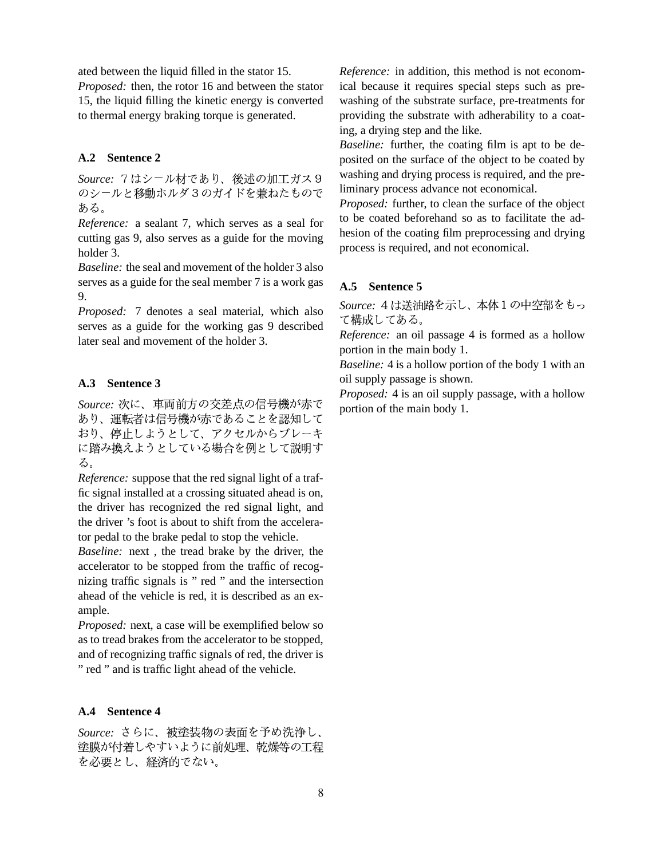ated between the liquid filled in the stator 15.

*Proposed:* then, the rotor 16 and between the stator 15, the liquid filling the kinetic energy is converted to thermal energy braking torque is generated.

## **A.2 Sentence 2**

*Source:* 7はシ-ル材であり、後述の加工ガス9 <sup>wasnin</sup> のシールと移動ホルダ3のガイドを兼ねたもので - Tilliniary proce ある。

*Reference:* a sealant 7, which serves as a seal for cutting gas 9, also serves as a guide for the moving holder 3.

*Baseline:* the seal and movement of the holder 3 also serves as a guide for the seal member 7 is a work gas 9.

*Proposed:* 7 denotes a seal material, which also serves as a guide for the working gas 9 described later seal and movement of the holder 3.

## **A.3 Sentence 3**

*Source:* 次に、車両前方の交差点の信号機が赤で <sub>nortion of the</sub> あり、運転者は信号機が赤であることを認知して A A SECOND RESERVED ON A SECOND RESERVED ON A SECOND PROPERTY OF A SECOND PROPERTY OF A SECOND PROPERTY OF A SECOND PROPERTY OF A SECOND PROPERTY OF A SECOND PROPERTY OF A SECOND PROPERTY OF A SECOND PROPERTY OF A SECOND P . In the set of the set of  $\mathbb{R}^n$  is the set of the set of  $\mathbb{R}^n$  . In the set of  $\mathbb{R}^n$ る。

*Reference:* suppose that the red signal light of a traffic signal installed at a crossing situated ahead is on, the driver has recognized the red signal light, and the driver 's foot is about to shift from the accelerator pedal to the brake pedal to stop the vehicle.

*Baseline:* next , the tread brake by the driver, the accelerator to be stopped from the traffic of recognizing traffic signals is " red " and the intersection ahead of the vehicle is red, it is described as an example.

*Proposed:* next, a case will be exemplified below so as to tread brakes from the accelerator to be stopped, and of recognizing traffic signals of red, the driver is " red " and is traffic light ahead of the vehicle.

## **A.4 Sentence 4**

Source: さらに、被塗装物の表面を予め洗浄し、 塗膜が付着しやすいように前処理、乾燥等の工程 を必要とし、経済的でない。

*Reference:* in addition, this method is not economical because it requires special steps such as prewashing of the substrate surface, pre-treatments for providing the substrate with adherability to a coating, a drying step and the like.

*Baseline:* further, the coating film is apt to be deposited on the surface of the object to be coated by washing and drying process is required, and the preliminary process advance not economical.

*Proposed:* further, to clean the surface of the object to be coated beforehand so as to facilitate the adhesion of the coating film preprocessing and drying process is required, and not economical.

## **A.5 Sentence 5**

*Source:* 4は送油路を示し、本体1の中空部をもっ て構成してある。

*Reference:* an oil passage 4 is formed as a hollow portion in the main body 1.

*Baseline:* 4 is a hollow portion of the body 1 with an oil supply passage is shown.

*Proposed:* 4 is an oil supply passage, with a hollow portion of the main body 1.